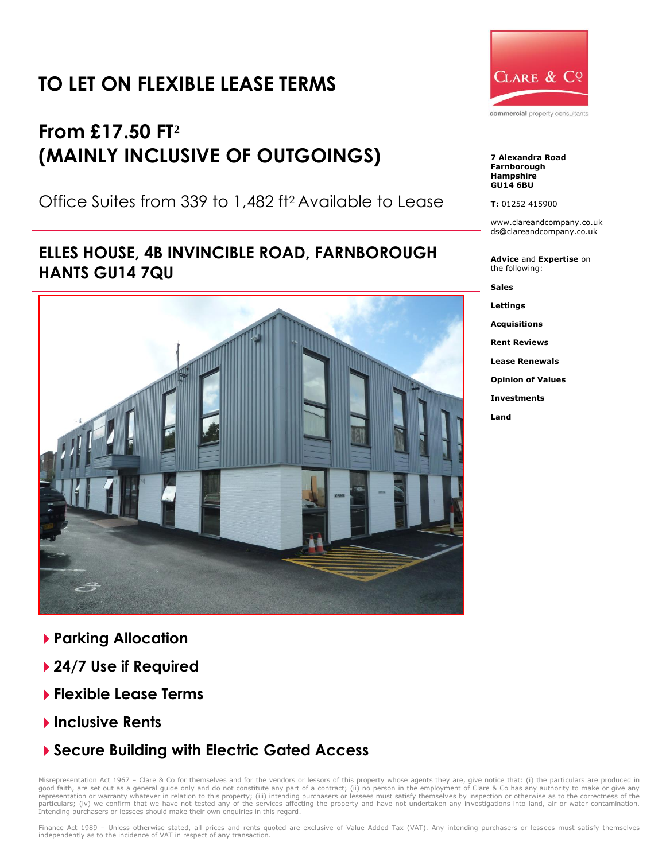# **TO LET ON FLEXIBLE LEASE TERMS**

# **From £17.50 FT² (MAINLY INCLUSIVE OF OUTGOINGS)**

Office Suites from 339 to 1,482 ft<sup>2</sup> Available to Lease

## **ELLES HOUSE, 4B INVINCIBLE ROAD, FARNBOROUGH HANTS GU14 7QU**



- **Parking Allocation**
- **24/7 Use if Required**
- **Flexible Lease Terms**
- **Inclusive Rents**
- **Secure Building with Electric Gated Access**

Misrepresentation Act 1967 - Clare & Co for themselves and for the vendors or lessors of this property whose agents they are, give notice that: (i) the particulars are produced in good faith, are set out as a general guide only and do not constitute any part of a contract; (ii) no person in the employment of Clare & Co has any authority to make or give any<br>representation or warranty whatever in rela Intending purchasers or lessees should make their own enquiries in this regard.



**7 Alexandra Road Farnborough Hampshire GU14 6BU**

**T:** 01252 415900

www.clareandcompany.co.uk ds@clareandcompany.co.uk

**Advice** and **Expertise** on the following:

**Sales Lettings**

**Land**

**Acquisitions Rent Reviews Lease Renewals Opinion of Values Investments**

Finance Act 1989 - Unless otherwise stated, all prices and rents quoted are exclusive of Value Added Tax (VAT). Any intending purchasers or lessees must satisfy themselves independently as to the incidence of VAT in respect of any transaction.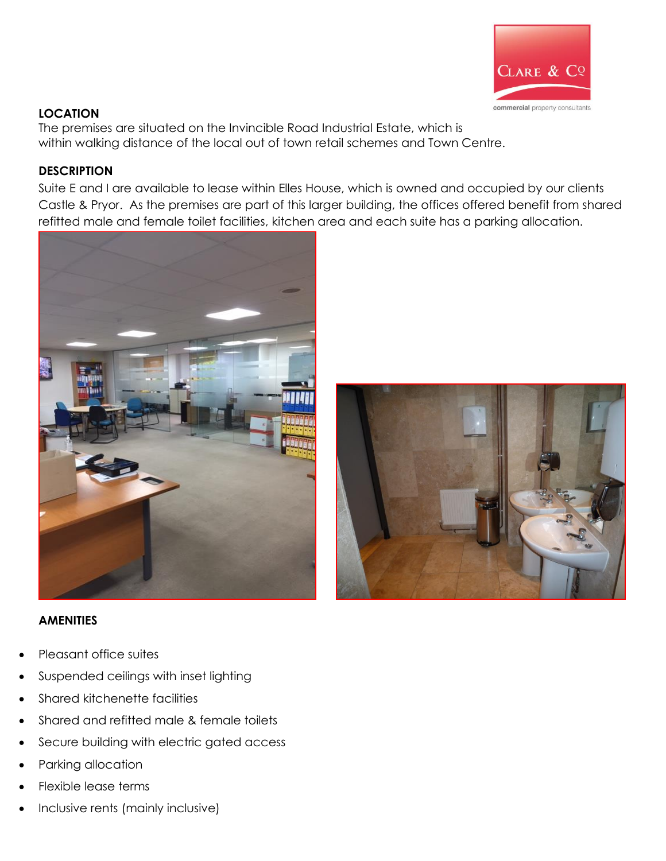

#### **LOCATION**

The premises are situated on the Invincible Road Industrial Estate, which is within walking distance of the local out of town retail schemes and Town Centre.

#### **DESCRIPTION**

Suite E and I are available to lease within Elles House, which is owned and occupied by our clients Castle & Pryor. As the premises are part of this larger building, the offices offered benefit from shared refitted male and female toilet facilities, kitchen area and each suite has a parking allocation.



#### **AMENITIES**

- Pleasant office suites
- Suspended ceilings with inset lighting
- Shared kitchenette facilities
- Shared and refitted male & female toilets
- Secure building with electric gated access
- Parking allocation
- Flexible lease terms
- Inclusive rents (mainly inclusive)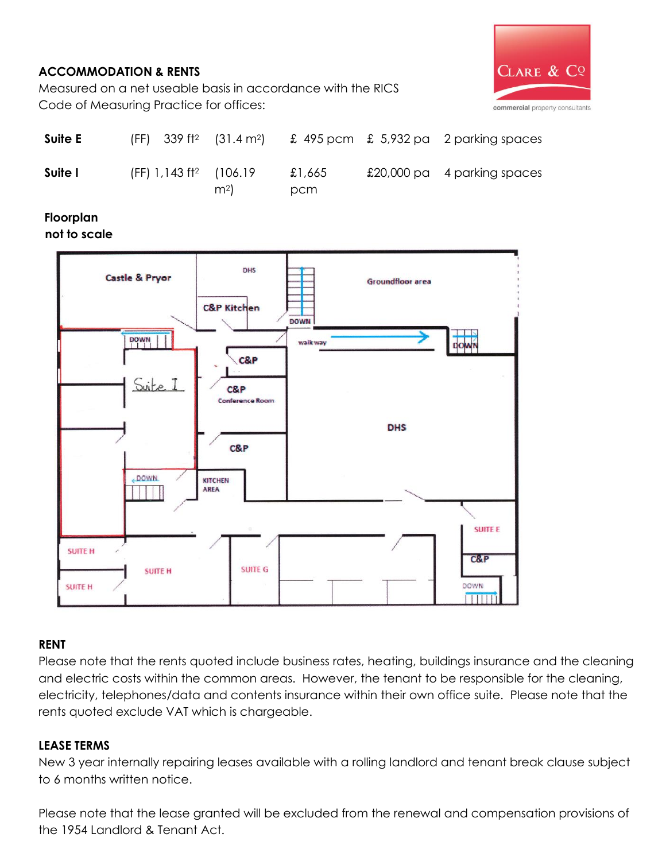### **ACCOMMODATION & RENTS**



Measured on a net useable basis in accordance with the RICS Code of Measuring Practice for offices:

| Suite E | $(FF)$ 339 ft <sup>2</sup> (31.4 m <sup>2</sup> ) |                |               | $\pounds$ 495 pcm $\pounds$ 5,932 pa 2 parking spaces |
|---------|---------------------------------------------------|----------------|---------------|-------------------------------------------------------|
| Suite I | (FF) 1,143 ft <sup>2</sup> (106.19)               | m <sup>2</sup> | £1,665<br>pcm | £20,000 pa 4 parking spaces                           |

#### • **Floorplan**

**not to scale**



### **RENT**

Please note that the rents quoted include business rates, heating, buildings insurance and the cleaning and electric costs within the common areas. However, the tenant to be responsible for the cleaning, electricity, telephones/data and contents insurance within their own office suite. Please note that the rents quoted exclude VAT which is chargeable.

### **LEASE TERMS**

New 3 year internally repairing leases available with a rolling landlord and tenant break clause subject to 6 months written notice.

Please note that the lease granted will be excluded from the renewal and compensation provisions of the 1954 Landlord & Tenant Act.